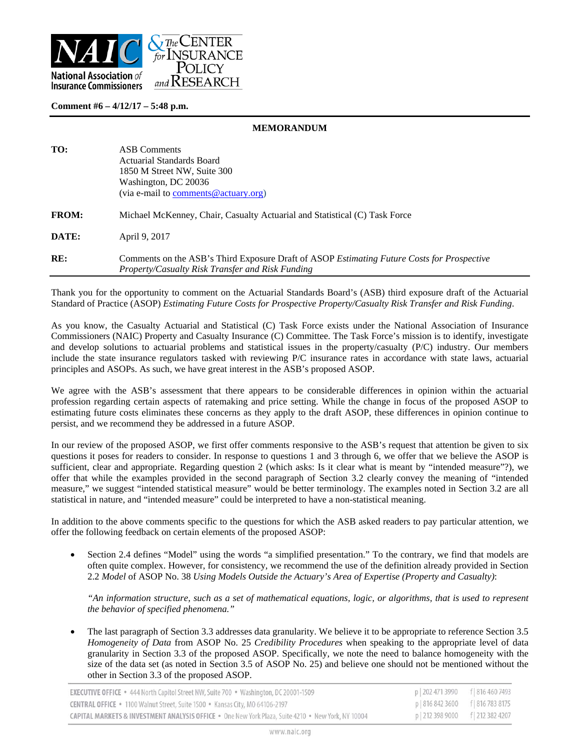

## **Comment #6 – 4/12/17 – 5:48 p.m.**

## **MEMORANDUM**

| TO:          | <b>ASB</b> Comments<br>Actuarial Standards Board<br>1850 M Street NW, Suite 300<br>Washington, DC 20036<br>(via e-mail to comments $@$ actuary.org) |
|--------------|-----------------------------------------------------------------------------------------------------------------------------------------------------|
| <b>FROM:</b> | Michael McKenney, Chair, Casualty Actuarial and Statistical (C) Task Force                                                                          |
| DATE:        | April 9, 2017                                                                                                                                       |
| RE:          | Comments on the ASB's Third Exposure Draft of ASOP Estimating Future Costs for Prospective<br>Property/Casualty Risk Transfer and Risk Funding      |

Thank you for the opportunity to comment on the Actuarial Standards Board's (ASB) third exposure draft of the Actuarial Standard of Practice (ASOP) *Estimating Future Costs for Prospective Property/Casualty Risk Transfer and Risk Funding*.

As you know, the Casualty Actuarial and Statistical (C) Task Force exists under the National Association of Insurance Commissioners (NAIC) Property and Casualty Insurance (C) Committee. The Task Force's mission is to identify, investigate and develop solutions to actuarial problems and statistical issues in the property/casualty (P/C) industry. Our members include the state insurance regulators tasked with reviewing P/C insurance rates in accordance with state laws, actuarial principles and ASOPs. As such, we have great interest in the ASB's proposed ASOP.

We agree with the ASB's assessment that there appears to be considerable differences in opinion within the actuarial profession regarding certain aspects of ratemaking and price setting. While the change in focus of the proposed ASOP to estimating future costs eliminates these concerns as they apply to the draft ASOP, these differences in opinion continue to persist, and we recommend they be addressed in a future ASOP.

In our review of the proposed ASOP, we first offer comments responsive to the ASB's request that attention be given to six questions it poses for readers to consider. In response to questions 1 and 3 through 6, we offer that we believe the ASOP is sufficient, clear and appropriate. Regarding question 2 (which asks: Is it clear what is meant by "intended measure"?), we offer that while the examples provided in the second paragraph of Section 3.2 clearly convey the meaning of "intended measure," we suggest "intended statistical measure" would be better terminology. The examples noted in Section 3.2 are all statistical in nature, and "intended measure" could be interpreted to have a non-statistical meaning.

In addition to the above comments specific to the questions for which the ASB asked readers to pay particular attention, we offer the following feedback on certain elements of the proposed ASOP:

 Section 2.4 defines "Model" using the words "a simplified presentation." To the contrary, we find that models are often quite complex. However, for consistency, we recommend the use of the definition already provided in Section 2.2 *Model* of ASOP No. 38 *Using Models Outside the Actuary's Area of Expertise (Property and Casualty)*:

*"An information structure, such as a set of mathematical equations, logic, or algorithms, that is used to represent the behavior of specified phenomena."* 

 The last paragraph of Section 3.3 addresses data granularity. We believe it to be appropriate to reference Section 3.5 *Homogeneity of Data* from ASOP No. 25 *Credibility Procedures* when speaking to the appropriate level of data granularity in Section 3.3 of the proposed ASOP. Specifically, we note the need to balance homogeneity with the size of the data set (as noted in Section 3.5 of ASOP No. 25) and believe one should not be mentioned without the other in Section 3.3 of the proposed ASOP.

| <b>EXECUTIVE OFFICE •</b> 444 North Capitol Street NW, Suite 700 • Washington, DC 20001-1509       | p   202 471 3990 f   816 460 7493 |  |
|----------------------------------------------------------------------------------------------------|-----------------------------------|--|
| <b>CENTRAL OFFICE</b> • 1100 Walnut Street, Suite 1500 • Kansas City, MO 64106-2197                | p 816 842 3600 f 816 783 8175     |  |
| CAPITAL MARKETS & INVESTMENT ANALYSIS OFFICE . One New York Plaza, Suite 4210 . New York, NY 10004 | p   212 398 9000 f   212 382 4207 |  |